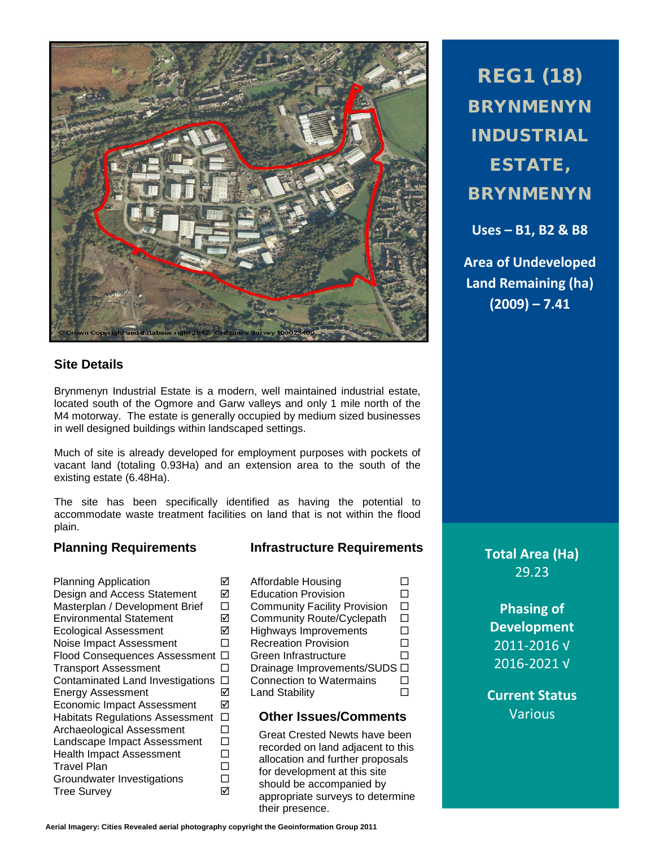

## **Site Details**

Brynmenyn Industrial Estate is a modern, well maintained industrial estate, located south of the Ogmore and Garw valleys and only 1 mile north of the M4 motorway. The estate is generally occupied by medium sized businesses in well designed buildings within landscaped settings.

Much of site is already developed for employment purposes with pockets of vacant land (totaling 0.93Ha) and an extension area to the south of the existing estate (6.48Ha).

The site has been specifically identified as having the potential to accommodate waste treatment facilities on land that is not within the flood plain.

## **Planning Requirements Infrastructure Requirements**

Planning Application <br>
Design and Access Statement M Design and Access Statement **■**<br>Masterplan / Development Brief Masterplan / Development Brief  $\Box$ <br>Environmental Statement  $\Box$ Environmental Statement Community Route/Cyclepath Ecological Assessment  $\boxtimes$ <br>Noise Impact Assessment  $\Box$ Noise Impact Assessment Flood Consequences Assessment  $\Box$ Transport Assessment  $\Box$ Contaminated Land Investigations  $\Box$ Energy Assessment Land Stability Economic Impact Assessment Habitats Regulations Assessment  $\square$ <br>Archaeological Assessment  $\square$ Archaeological Assessment Landscape Impact Assessment  $\Box$ Health Impact Assessment  $\square$ <br>Travel Plan Travel Plan<br>Groundwater Investigations □ Groundwater Investigations Tree Survey

| Affordable Housing                  |  |
|-------------------------------------|--|
| <b>Education Provision</b>          |  |
| <b>Community Facility Provision</b> |  |
| Community Route/Cyclepath           |  |
| <b>Highways Improvements</b>        |  |
| <b>Recreation Provision</b>         |  |
| Green Infrastructure                |  |
| Drainage Improvements/SUDS □        |  |
| <b>Connection to Watermains</b>     |  |
| <b>Land Stability</b>               |  |
|                                     |  |

## **Other Issues/Comments**

Great Crested Newts have been recorded on land adjacent to this allocation and further proposals for development at this site should be accompanied by appropriate surveys to determine their presence.

REG1 (18) BRYNMENYN INDUSTRIAL ESTATE, BRYNMENYN

**Uses – B1, B2 & B8**

**Area of Undeveloped Land Remaining (ha) (2009) – 7.41**

> **Total Area (Ha)** 29.23

> > **Phasing of Development** 2011-2016 √ 2016-2021 √

**Current Status** Various